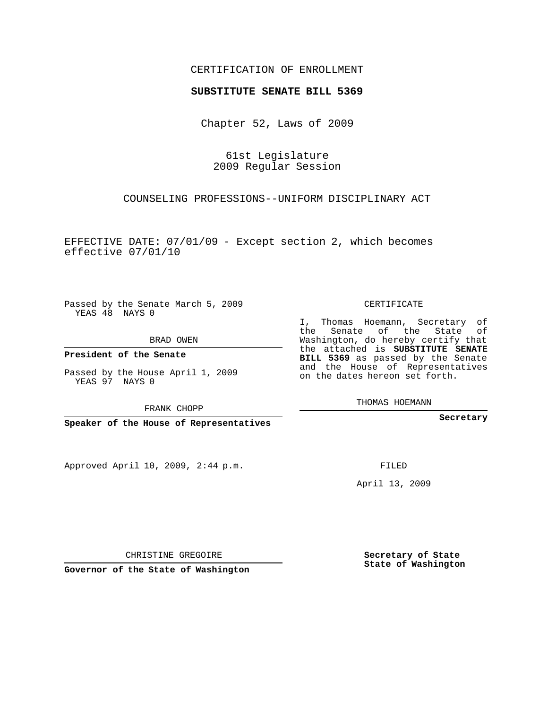## CERTIFICATION OF ENROLLMENT

## **SUBSTITUTE SENATE BILL 5369**

Chapter 52, Laws of 2009

61st Legislature 2009 Regular Session

COUNSELING PROFESSIONS--UNIFORM DISCIPLINARY ACT

EFFECTIVE DATE: 07/01/09 - Except section 2, which becomes effective 07/01/10

Passed by the Senate March 5, 2009 YEAS 48 NAYS 0

BRAD OWEN

**President of the Senate**

Passed by the House April 1, 2009 YEAS 97 NAYS 0

FRANK CHOPP

**Speaker of the House of Representatives**

Approved April 10, 2009, 2:44 p.m.

CERTIFICATE

I, Thomas Hoemann, Secretary of the Senate of the State of Washington, do hereby certify that the attached is **SUBSTITUTE SENATE BILL 5369** as passed by the Senate and the House of Representatives on the dates hereon set forth.

THOMAS HOEMANN

**Secretary**

FILED

April 13, 2009

**Secretary of State State of Washington**

CHRISTINE GREGOIRE

**Governor of the State of Washington**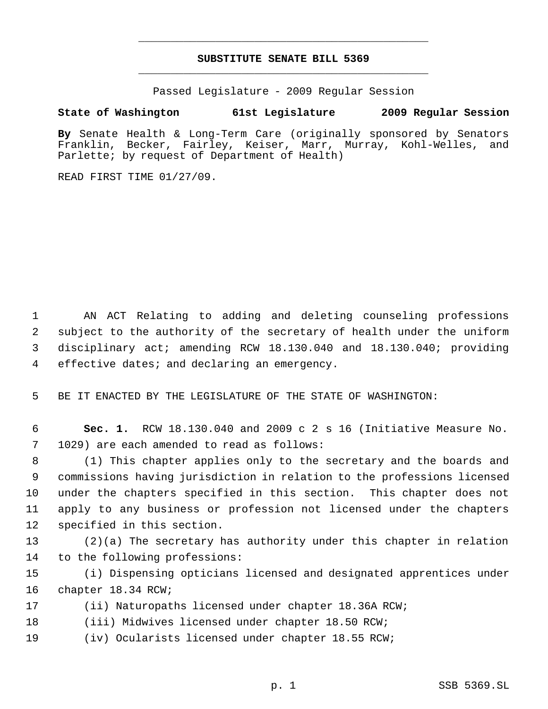## **SUBSTITUTE SENATE BILL 5369** \_\_\_\_\_\_\_\_\_\_\_\_\_\_\_\_\_\_\_\_\_\_\_\_\_\_\_\_\_\_\_\_\_\_\_\_\_\_\_\_\_\_\_\_\_

\_\_\_\_\_\_\_\_\_\_\_\_\_\_\_\_\_\_\_\_\_\_\_\_\_\_\_\_\_\_\_\_\_\_\_\_\_\_\_\_\_\_\_\_\_

Passed Legislature - 2009 Regular Session

## **State of Washington 61st Legislature 2009 Regular Session**

**By** Senate Health & Long-Term Care (originally sponsored by Senators Franklin, Becker, Fairley, Keiser, Marr, Murray, Kohl-Welles, and Parlette; by request of Department of Health)

READ FIRST TIME 01/27/09.

 AN ACT Relating to adding and deleting counseling professions subject to the authority of the secretary of health under the uniform disciplinary act; amending RCW 18.130.040 and 18.130.040; providing effective dates; and declaring an emergency.

BE IT ENACTED BY THE LEGISLATURE OF THE STATE OF WASHINGTON:

 **Sec. 1.** RCW 18.130.040 and 2009 c 2 s 16 (Initiative Measure No. 1029) are each amended to read as follows:

 (1) This chapter applies only to the secretary and the boards and commissions having jurisdiction in relation to the professions licensed under the chapters specified in this section. This chapter does not apply to any business or profession not licensed under the chapters specified in this section.

 (2)(a) The secretary has authority under this chapter in relation to the following professions:

 (i) Dispensing opticians licensed and designated apprentices under chapter 18.34 RCW;

- (ii) Naturopaths licensed under chapter 18.36A RCW;
- (iii) Midwives licensed under chapter 18.50 RCW;
- (iv) Ocularists licensed under chapter 18.55 RCW;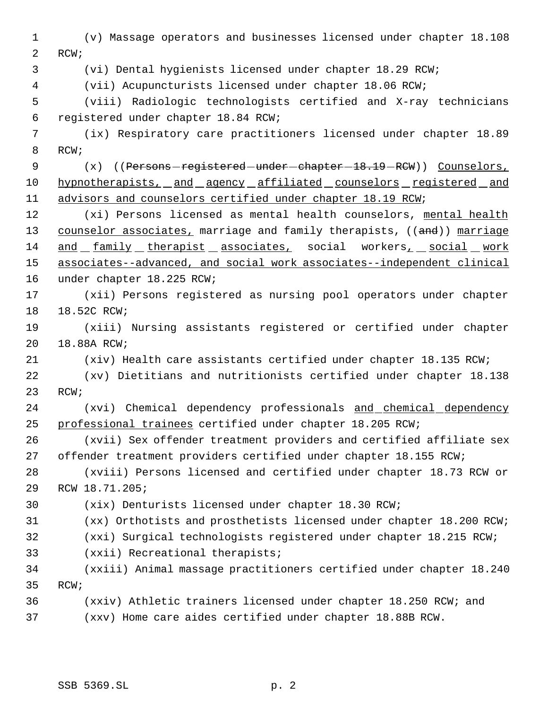(v) Massage operators and businesses licensed under chapter 18.108 RCW; (vi) Dental hygienists licensed under chapter 18.29 RCW; (vii) Acupuncturists licensed under chapter 18.06 RCW; (viii) Radiologic technologists certified and X-ray technicians registered under chapter 18.84 RCW; (ix) Respiratory care practitioners licensed under chapter 18.89 RCW; 9 (x) ((Persons-registered-under-chapter-18.19-RCW)) Counselors, 10 hypnotherapists, and agency affiliated counselors registered and advisors and counselors certified under chapter 18.19 RCW; 12 (xi) Persons licensed as mental health counselors, mental health 13 counselor associates, marriage and family therapists, ((and)) marriage and family therapist associates, social workers, social work associates--advanced, and social work associates--independent clinical under chapter 18.225 RCW; (xii) Persons registered as nursing pool operators under chapter 18.52C RCW; (xiii) Nursing assistants registered or certified under chapter 18.88A RCW; (xiv) Health care assistants certified under chapter 18.135 RCW; (xv) Dietitians and nutritionists certified under chapter 18.138 RCW; (xvi) Chemical dependency professionals and chemical dependency professional trainees certified under chapter 18.205 RCW; (xvii) Sex offender treatment providers and certified affiliate sex offender treatment providers certified under chapter 18.155 RCW; (xviii) Persons licensed and certified under chapter 18.73 RCW or RCW 18.71.205; (xix) Denturists licensed under chapter 18.30 RCW; (xx) Orthotists and prosthetists licensed under chapter 18.200 RCW; (xxi) Surgical technologists registered under chapter 18.215 RCW; (xxii) Recreational therapists; (xxiii) Animal massage practitioners certified under chapter 18.240 RCW; (xxiv) Athletic trainers licensed under chapter 18.250 RCW; and (xxv) Home care aides certified under chapter 18.88B RCW.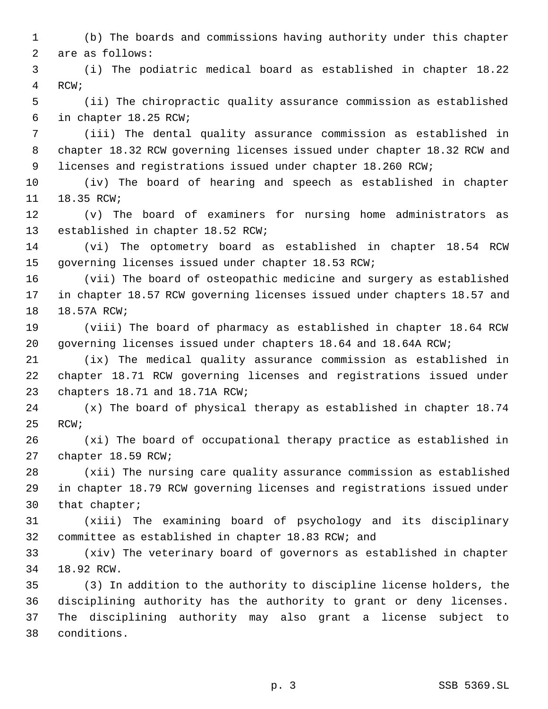(b) The boards and commissions having authority under this chapter are as follows:

 (i) The podiatric medical board as established in chapter 18.22 RCW;

 (ii) The chiropractic quality assurance commission as established in chapter 18.25 RCW;

 (iii) The dental quality assurance commission as established in chapter 18.32 RCW governing licenses issued under chapter 18.32 RCW and 9 licenses and registrations issued under chapter 18.260 RCW;

 (iv) The board of hearing and speech as established in chapter 18.35 RCW;

 (v) The board of examiners for nursing home administrators as established in chapter 18.52 RCW;

 (vi) The optometry board as established in chapter 18.54 RCW governing licenses issued under chapter 18.53 RCW;

 (vii) The board of osteopathic medicine and surgery as established in chapter 18.57 RCW governing licenses issued under chapters 18.57 and 18.57A RCW;

 (viii) The board of pharmacy as established in chapter 18.64 RCW governing licenses issued under chapters 18.64 and 18.64A RCW;

 (ix) The medical quality assurance commission as established in chapter 18.71 RCW governing licenses and registrations issued under chapters 18.71 and 18.71A RCW;

 (x) The board of physical therapy as established in chapter 18.74 RCW;

 (xi) The board of occupational therapy practice as established in chapter 18.59 RCW;

 (xii) The nursing care quality assurance commission as established in chapter 18.79 RCW governing licenses and registrations issued under that chapter;

 (xiii) The examining board of psychology and its disciplinary committee as established in chapter 18.83 RCW; and

 (xiv) The veterinary board of governors as established in chapter 18.92 RCW.

 (3) In addition to the authority to discipline license holders, the disciplining authority has the authority to grant or deny licenses. The disciplining authority may also grant a license subject to conditions.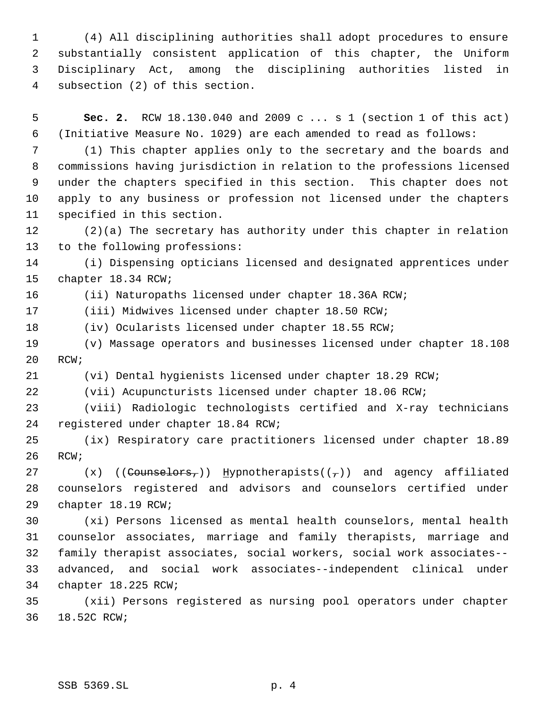(4) All disciplining authorities shall adopt procedures to ensure substantially consistent application of this chapter, the Uniform Disciplinary Act, among the disciplining authorities listed in subsection (2) of this section.

 **Sec. 2.** RCW 18.130.040 and 2009 c ... s 1 (section 1 of this act) (Initiative Measure No. 1029) are each amended to read as follows:

 (1) This chapter applies only to the secretary and the boards and commissions having jurisdiction in relation to the professions licensed under the chapters specified in this section. This chapter does not apply to any business or profession not licensed under the chapters specified in this section.

 (2)(a) The secretary has authority under this chapter in relation to the following professions:

 (i) Dispensing opticians licensed and designated apprentices under chapter 18.34 RCW;

(ii) Naturopaths licensed under chapter 18.36A RCW;

(iii) Midwives licensed under chapter 18.50 RCW;

(iv) Ocularists licensed under chapter 18.55 RCW;

 (v) Massage operators and businesses licensed under chapter 18.108 RCW;

(vi) Dental hygienists licensed under chapter 18.29 RCW;

(vii) Acupuncturists licensed under chapter 18.06 RCW;

 (viii) Radiologic technologists certified and X-ray technicians registered under chapter 18.84 RCW;

 (ix) Respiratory care practitioners licensed under chapter 18.89 RCW;

27  $(x)$  ((Counselors,)) Hypnotherapists( $(\tau)$ ) and agency affiliated counselors registered and advisors and counselors certified under chapter 18.19 RCW;

 (xi) Persons licensed as mental health counselors, mental health counselor associates, marriage and family therapists, marriage and family therapist associates, social workers, social work associates-- advanced, and social work associates--independent clinical under chapter 18.225 RCW;

 (xii) Persons registered as nursing pool operators under chapter 18.52C RCW;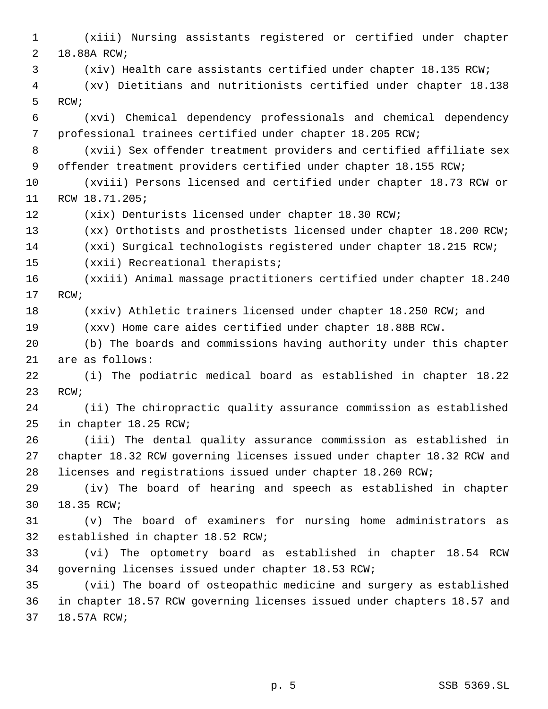(xiii) Nursing assistants registered or certified under chapter 18.88A RCW; (xiv) Health care assistants certified under chapter 18.135 RCW; (xv) Dietitians and nutritionists certified under chapter 18.138 RCW; (xvi) Chemical dependency professionals and chemical dependency professional trainees certified under chapter 18.205 RCW; (xvii) Sex offender treatment providers and certified affiliate sex 9 offender treatment providers certified under chapter 18.155 RCW; (xviii) Persons licensed and certified under chapter 18.73 RCW or RCW 18.71.205; (xix) Denturists licensed under chapter 18.30 RCW; (xx) Orthotists and prosthetists licensed under chapter 18.200 RCW; (xxi) Surgical technologists registered under chapter 18.215 RCW; (xxii) Recreational therapists; (xxiii) Animal massage practitioners certified under chapter 18.240 RCW; (xxiv) Athletic trainers licensed under chapter 18.250 RCW; and (xxv) Home care aides certified under chapter 18.88B RCW. (b) The boards and commissions having authority under this chapter are as follows: (i) The podiatric medical board as established in chapter 18.22 RCW; (ii) The chiropractic quality assurance commission as established in chapter 18.25 RCW; (iii) The dental quality assurance commission as established in chapter 18.32 RCW governing licenses issued under chapter 18.32 RCW and licenses and registrations issued under chapter 18.260 RCW; (iv) The board of hearing and speech as established in chapter 18.35 RCW; (v) The board of examiners for nursing home administrators as established in chapter 18.52 RCW; (vi) The optometry board as established in chapter 18.54 RCW governing licenses issued under chapter 18.53 RCW; (vii) The board of osteopathic medicine and surgery as established in chapter 18.57 RCW governing licenses issued under chapters 18.57 and 18.57A RCW;